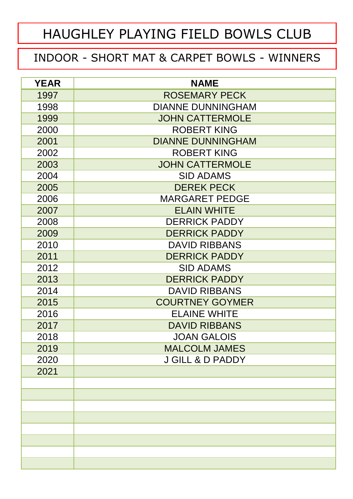#### INDOOR - SHORT MAT & CARPET BOWLS - WINNERS

| <b>YEAR</b> | <b>NAME</b>                 |  |  |  |
|-------------|-----------------------------|--|--|--|
| 1997        | <b>ROSEMARY PECK</b>        |  |  |  |
| 1998        | <b>DIANNE DUNNINGHAM</b>    |  |  |  |
| 1999        | <b>JOHN CATTERMOLE</b>      |  |  |  |
| 2000        | <b>ROBERT KING</b>          |  |  |  |
| 2001        | <b>DIANNE DUNNINGHAM</b>    |  |  |  |
| 2002        | <b>ROBERT KING</b>          |  |  |  |
| 2003        | <b>JOHN CATTERMOLE</b>      |  |  |  |
| 2004        | <b>SID ADAMS</b>            |  |  |  |
| 2005        | <b>DEREK PECK</b>           |  |  |  |
| 2006        | <b>MARGARET PEDGE</b>       |  |  |  |
| 2007        | <b>ELAIN WHITE</b>          |  |  |  |
| 2008        | <b>DERRICK PADDY</b>        |  |  |  |
| 2009        | <b>DERRICK PADDY</b>        |  |  |  |
| 2010        | <b>DAVID RIBBANS</b>        |  |  |  |
| 2011        | <b>DERRICK PADDY</b>        |  |  |  |
| 2012        | <b>SID ADAMS</b>            |  |  |  |
| 2013        | <b>DERRICK PADDY</b>        |  |  |  |
| 2014        | <b>DAVID RIBBANS</b>        |  |  |  |
| 2015        | <b>COURTNEY GOYMER</b>      |  |  |  |
| 2016        | <b>ELAINE WHITE</b>         |  |  |  |
| 2017        | <b>DAVID RIBBANS</b>        |  |  |  |
| 2018        | <b>JOAN GALOIS</b>          |  |  |  |
| 2019        | <b>MALCOLM JAMES</b>        |  |  |  |
| 2020        | <b>J GILL &amp; D PADDY</b> |  |  |  |
| 2021        |                             |  |  |  |
|             |                             |  |  |  |
|             |                             |  |  |  |
|             |                             |  |  |  |
|             |                             |  |  |  |
|             |                             |  |  |  |
|             |                             |  |  |  |
|             |                             |  |  |  |
|             |                             |  |  |  |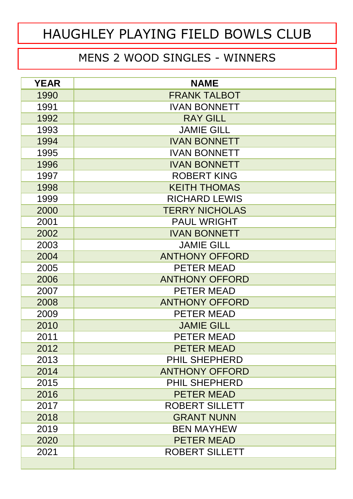#### MENS 2 WOOD SINGLES - WINNERS

| <b>YEAR</b> | <b>NAME</b>           |  |  |
|-------------|-----------------------|--|--|
| 1990        | <b>FRANK TALBOT</b>   |  |  |
| 1991        | <b>IVAN BONNETT</b>   |  |  |
| 1992        | <b>RAY GILL</b>       |  |  |
| 1993        | <b>JAMIE GILL</b>     |  |  |
| 1994        | <b>IVAN BONNETT</b>   |  |  |
| 1995        | <b>IVAN BONNETT</b>   |  |  |
| 1996        | <b>IVAN BONNETT</b>   |  |  |
| 1997        | <b>ROBERT KING</b>    |  |  |
| 1998        | <b>KEITH THOMAS</b>   |  |  |
| 1999        | <b>RICHARD LEWIS</b>  |  |  |
| 2000        | <b>TERRY NICHOLAS</b> |  |  |
| 2001        | <b>PAUL WRIGHT</b>    |  |  |
| 2002        | <b>IVAN BONNETT</b>   |  |  |
| 2003        | <b>JAMIE GILL</b>     |  |  |
| 2004        | <b>ANTHONY OFFORD</b> |  |  |
| 2005        | <b>PETER MEAD</b>     |  |  |
| 2006        | <b>ANTHONY OFFORD</b> |  |  |
| 2007        | PETER MEAD            |  |  |
| 2008        | <b>ANTHONY OFFORD</b> |  |  |
| 2009        | <b>PETER MEAD</b>     |  |  |
| 2010        | <b>JAMIE GILL</b>     |  |  |
| 2011        | <b>PETER MEAD</b>     |  |  |
| 2012        | <b>PETER MEAD</b>     |  |  |
| 2013        | <b>PHIL SHEPHERD</b>  |  |  |
| 2014        | <b>ANTHONY OFFORD</b> |  |  |
| 2015        | <b>PHIL SHEPHERD</b>  |  |  |
| 2016        | <b>PETER MEAD</b>     |  |  |
| 2017        | <b>ROBERT SILLETT</b> |  |  |
| 2018        | <b>GRANT NUNN</b>     |  |  |
| 2019        | <b>BEN MAYHEW</b>     |  |  |
| 2020        | <b>PETER MEAD</b>     |  |  |
| 2021        | <b>ROBERT SILLETT</b> |  |  |
|             |                       |  |  |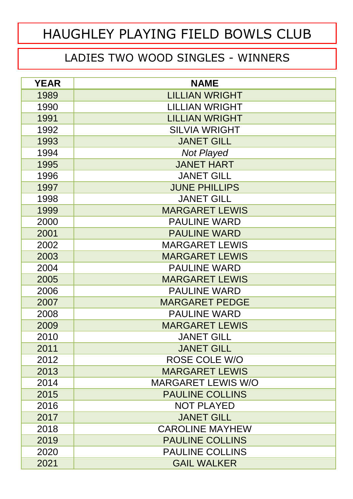#### LADIES TWO WOOD SINGLES - WINNERS

| <b>YEAR</b> | <b>NAME</b>               |  |  |
|-------------|---------------------------|--|--|
| 1989        | <b>LILLIAN WRIGHT</b>     |  |  |
| 1990        | <b>LILLIAN WRIGHT</b>     |  |  |
| 1991        | <b>LILLIAN WRIGHT</b>     |  |  |
| 1992        | <b>SILVIA WRIGHT</b>      |  |  |
| 1993        | <b>JANET GILL</b>         |  |  |
| 1994        | <b>Not Played</b>         |  |  |
| 1995        | <b>JANET HART</b>         |  |  |
| 1996        | <b>JANET GILL</b>         |  |  |
| 1997        | <b>JUNE PHILLIPS</b>      |  |  |
| 1998        | <b>JANET GILL</b>         |  |  |
| 1999        | <b>MARGARET LEWIS</b>     |  |  |
| 2000        | <b>PAULINE WARD</b>       |  |  |
| 2001        | <b>PAULINE WARD</b>       |  |  |
| 2002        | <b>MARGARET LEWIS</b>     |  |  |
| 2003        | <b>MARGARET LEWIS</b>     |  |  |
| 2004        | <b>PAULINE WARD</b>       |  |  |
| 2005        | <b>MARGARET LEWIS</b>     |  |  |
| 2006        | <b>PAULINE WARD</b>       |  |  |
| 2007        | <b>MARGARET PEDGE</b>     |  |  |
| 2008        | <b>PAULINE WARD</b>       |  |  |
| 2009        | <b>MARGARET LEWIS</b>     |  |  |
| 2010        | <b>JANET GILL</b>         |  |  |
| 2011        | <b>JANET GILL</b>         |  |  |
| 2012        | <b>ROSE COLE W/O</b>      |  |  |
| 2013        | <b>MARGARET LEWIS</b>     |  |  |
| 2014        | <b>MARGARET LEWIS W/O</b> |  |  |
| 2015        | <b>PAULINE COLLINS</b>    |  |  |
| 2016        | <b>NOT PLAYED</b>         |  |  |
| 2017        | <b>JANET GILL</b>         |  |  |
| 2018        | <b>CAROLINE MAYHEW</b>    |  |  |
| 2019        | <b>PAULINE COLLINS</b>    |  |  |
| 2020        | <b>PAULINE COLLINS</b>    |  |  |
| 2021        | <b>GAIL WALKER</b>        |  |  |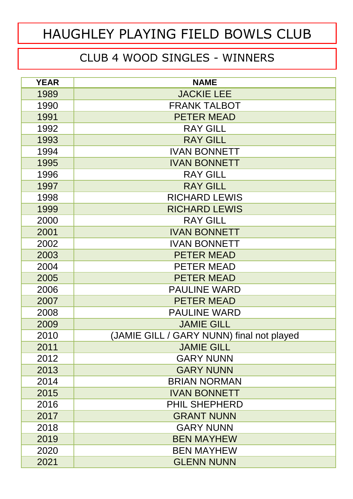#### CLUB 4 WOOD SINGLES - WINNERS

| <b>YEAR</b> | <b>NAME</b>                               |  |
|-------------|-------------------------------------------|--|
| 1989        | <b>JACKIE LEE</b>                         |  |
| 1990        | <b>FRANK TALBOT</b>                       |  |
| 1991        | <b>PETER MEAD</b>                         |  |
| 1992        | <b>RAY GILL</b>                           |  |
| 1993        | <b>RAY GILL</b>                           |  |
| 1994        | <b>IVAN BONNETT</b>                       |  |
| 1995        | <b>IVAN BONNETT</b>                       |  |
| 1996        | <b>RAY GILL</b>                           |  |
| 1997        | <b>RAY GILL</b>                           |  |
| 1998        | <b>RICHARD LEWIS</b>                      |  |
| 1999        | <b>RICHARD LEWIS</b>                      |  |
| 2000        | <b>RAY GILL</b>                           |  |
| 2001        | <b>IVAN BONNETT</b>                       |  |
| 2002        | <b>IVAN BONNETT</b>                       |  |
| 2003        | <b>PETER MEAD</b>                         |  |
| 2004        | PETER MEAD                                |  |
| 2005        | <b>PETER MEAD</b>                         |  |
| 2006        | <b>PAULINE WARD</b>                       |  |
| 2007        | <b>PETER MEAD</b>                         |  |
| 2008        | <b>PAULINE WARD</b>                       |  |
| 2009        | <b>JAMIE GILL</b>                         |  |
| 2010        | (JAMIE GILL / GARY NUNN) final not played |  |
| 2011        | <b>JAMIE GILL</b>                         |  |
| 2012        | <b>GARY NUNN</b>                          |  |
| 2013        | <b>GARY NUNN</b>                          |  |
| 2014        | <b>BRIAN NORMAN</b>                       |  |
| 2015        | <b>IVAN BONNETT</b>                       |  |
| 2016        | <b>PHIL SHEPHERD</b>                      |  |
| 2017        | <b>GRANT NUNN</b>                         |  |
| 2018        | <b>GARY NUNN</b>                          |  |
| 2019        | <b>BEN MAYHEW</b>                         |  |
| 2020        | <b>BEN MAYHEW</b>                         |  |
| 2021        | <b>GLENN NUNN</b>                         |  |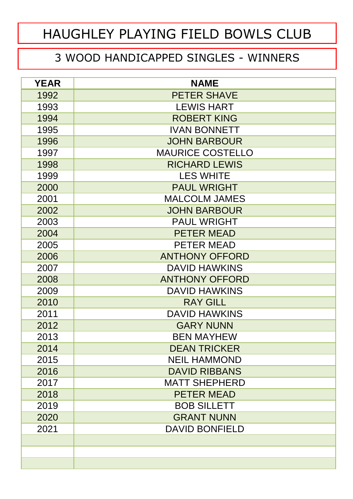#### 3 WOOD HANDICAPPED SINGLES - WINNERS

| <b>YEAR</b> | <b>NAME</b>             |  |  |  |
|-------------|-------------------------|--|--|--|
| 1992        | <b>PETER SHAVE</b>      |  |  |  |
| 1993        | <b>LEWIS HART</b>       |  |  |  |
| 1994        | <b>ROBERT KING</b>      |  |  |  |
| 1995        | <b>IVAN BONNETT</b>     |  |  |  |
| 1996        | <b>JOHN BARBOUR</b>     |  |  |  |
| 1997        | <b>MAURICE COSTELLO</b> |  |  |  |
| 1998        | <b>RICHARD LEWIS</b>    |  |  |  |
| 1999        | <b>LES WHITE</b>        |  |  |  |
| 2000        | <b>PAUL WRIGHT</b>      |  |  |  |
| 2001        | <b>MALCOLM JAMES</b>    |  |  |  |
| 2002        | <b>JOHN BARBOUR</b>     |  |  |  |
| 2003        | <b>PAUL WRIGHT</b>      |  |  |  |
| 2004        | <b>PETER MEAD</b>       |  |  |  |
| 2005        | <b>PETER MEAD</b>       |  |  |  |
| 2006        | <b>ANTHONY OFFORD</b>   |  |  |  |
| 2007        | <b>DAVID HAWKINS</b>    |  |  |  |
| 2008        | <b>ANTHONY OFFORD</b>   |  |  |  |
| 2009        | <b>DAVID HAWKINS</b>    |  |  |  |
| 2010        | <b>RAY GILL</b>         |  |  |  |
| 2011        | <b>DAVID HAWKINS</b>    |  |  |  |
| 2012        | <b>GARY NUNN</b>        |  |  |  |
| 2013        | <b>BEN MAYHEW</b>       |  |  |  |
| 2014        | <b>DEAN TRICKER</b>     |  |  |  |
| 2015        | <b>NEIL HAMMOND</b>     |  |  |  |
| 2016        | <b>DAVID RIBBANS</b>    |  |  |  |
| 2017        | <b>MATT SHEPHERD</b>    |  |  |  |
| 2018        | <b>PETER MEAD</b>       |  |  |  |
| 2019        | <b>BOB SILLETT</b>      |  |  |  |
| 2020        | <b>GRANT NUNN</b>       |  |  |  |
| 2021        | <b>DAVID BONFIELD</b>   |  |  |  |
|             |                         |  |  |  |
|             |                         |  |  |  |
|             |                         |  |  |  |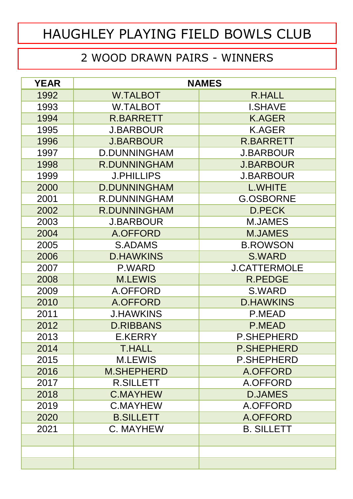#### 2 WOOD DRAWN PAIRS - WINNERS

| <b>YEAR</b> | <b>NAMES</b>                     |                     |  |
|-------------|----------------------------------|---------------------|--|
| 1992        | <b>W.TALBOT</b><br><b>R.HALL</b> |                     |  |
| 1993        | <b>W.TALBOT</b>                  | <b>I.SHAVE</b>      |  |
| 1994        | <b>R.BARRETT</b>                 | <b>K.AGER</b>       |  |
| 1995        | <b>J.BARBOUR</b>                 | <b>K.AGER</b>       |  |
| 1996        | <b>J.BARBOUR</b>                 | <b>R.BARRETT</b>    |  |
| 1997        | <b>D.DUNNINGHAM</b>              | <b>J.BARBOUR</b>    |  |
| 1998        | <b>R.DUNNINGHAM</b>              | <b>J.BARBOUR</b>    |  |
| 1999        | <b>J.PHILLIPS</b>                | <b>J.BARBOUR</b>    |  |
| 2000        | <b>D.DUNNINGHAM</b>              | <b>L.WHITE</b>      |  |
| 2001        | <b>R.DUNNINGHAM</b>              | <b>G.OSBORNE</b>    |  |
| 2002        | <b>R.DUNNINGHAM</b>              | <b>D.PECK</b>       |  |
| 2003        | <b>J.BARBOUR</b>                 | <b>M.JAMES</b>      |  |
| 2004        | A.OFFORD                         | <b>M.JAMES</b>      |  |
| 2005        | <b>S.ADAMS</b>                   | <b>B.ROWSON</b>     |  |
| 2006        | <b>D.HAWKINS</b>                 | <b>S.WARD</b>       |  |
| 2007        | P.WARD                           | <b>J.CATTERMOLE</b> |  |
| 2008        | <b>M.LEWIS</b>                   | <b>R.PEDGE</b>      |  |
| 2009        | A.OFFORD                         | S.WARD              |  |
| 2010        | A.OFFORD                         | <b>D.HAWKINS</b>    |  |
| 2011        | <b>J.HAWKINS</b>                 | P.MEAD              |  |
| 2012        | <b>D.RIBBANS</b>                 | <b>P.MEAD</b>       |  |
| 2013        | E.KERRY                          | <b>P.SHEPHERD</b>   |  |
| 2014        | <b>T.HALL</b>                    | <b>P.SHEPHERD</b>   |  |
| 2015        | <b>M.LEWIS</b>                   | <b>P.SHEPHERD</b>   |  |
| 2016        | <b>M.SHEPHERD</b>                | A.OFFORD            |  |
| 2017        | <b>R.SILLETT</b>                 | A.OFFORD            |  |
| 2018        | <b>C.MAYHEW</b>                  | <b>D.JAMES</b>      |  |
| 2019        | <b>C.MAYHEW</b>                  | A.OFFORD            |  |
| 2020        | <b>B.SILLETT</b>                 | A.OFFORD            |  |
| 2021        | C. MAYHEW                        | <b>B. SILLETT</b>   |  |
|             |                                  |                     |  |
|             |                                  |                     |  |
|             |                                  |                     |  |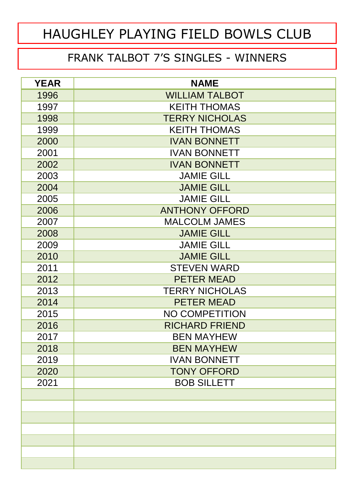#### FRANK TALBOT 7'S SINGLES - WINNERS

| <b>YEAR</b> | <b>NAME</b>           |  |  |  |
|-------------|-----------------------|--|--|--|
| 1996        | <b>WILLIAM TALBOT</b> |  |  |  |
| 1997        | <b>KEITH THOMAS</b>   |  |  |  |
| 1998        | <b>TERRY NICHOLAS</b> |  |  |  |
| 1999        | <b>KEITH THOMAS</b>   |  |  |  |
| 2000        | <b>IVAN BONNETT</b>   |  |  |  |
| 2001        | <b>IVAN BONNETT</b>   |  |  |  |
| 2002        | <b>IVAN BONNETT</b>   |  |  |  |
| 2003        | <b>JAMIE GILL</b>     |  |  |  |
| 2004        | <b>JAMIE GILL</b>     |  |  |  |
| 2005        | <b>JAMIE GILL</b>     |  |  |  |
| 2006        | <b>ANTHONY OFFORD</b> |  |  |  |
| 2007        | <b>MALCOLM JAMES</b>  |  |  |  |
| 2008        | <b>JAMIE GILL</b>     |  |  |  |
| 2009        | <b>JAMIE GILL</b>     |  |  |  |
| 2010        | <b>JAMIE GILL</b>     |  |  |  |
| 2011        | <b>STEVEN WARD</b>    |  |  |  |
| 2012        | <b>PETER MEAD</b>     |  |  |  |
| 2013        | <b>TERRY NICHOLAS</b> |  |  |  |
| 2014        | <b>PETER MEAD</b>     |  |  |  |
| 2015        | <b>NO COMPETITION</b> |  |  |  |
| 2016        | <b>RICHARD FRIEND</b> |  |  |  |
| 2017        | <b>BEN MAYHEW</b>     |  |  |  |
| 2018        | <b>BEN MAYHEW</b>     |  |  |  |
| 2019        | <b>IVAN BONNETT</b>   |  |  |  |
| 2020        | <b>TONY OFFORD</b>    |  |  |  |
| 2021        | <b>BOB SILLETT</b>    |  |  |  |
|             |                       |  |  |  |
|             |                       |  |  |  |
|             |                       |  |  |  |
|             |                       |  |  |  |
|             |                       |  |  |  |
|             |                       |  |  |  |
|             |                       |  |  |  |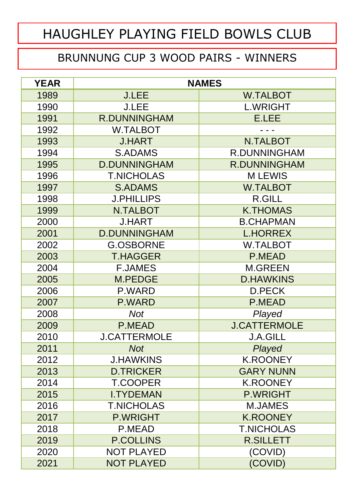#### BRUNNUNG CUP 3 WOOD PAIRS - WINNERS

| <b>YEAR</b> | <b>NAMES</b>        |                     |
|-------------|---------------------|---------------------|
| 1989        | <b>J.LEE</b>        | <b>W.TALBOT</b>     |
| 1990        | <b>J.LEE</b>        | <b>L.WRIGHT</b>     |
| 1991        | <b>R.DUNNINGHAM</b> | <b>E.LEE</b>        |
| 1992        | <b>W.TALBOT</b>     |                     |
| 1993        | <b>J.HART</b>       | <b>N.TALBOT</b>     |
| 1994        | <b>S.ADAMS</b>      | <b>R.DUNNINGHAM</b> |
| 1995        | <b>D.DUNNINGHAM</b> | <b>R.DUNNINGHAM</b> |
| 1996        | <b>T.NICHOLAS</b>   | <b>MLEWIS</b>       |
| 1997        | <b>S.ADAMS</b>      | <b>W.TALBOT</b>     |
| 1998        | <b>J.PHILLIPS</b>   | <b>R.GILL</b>       |
| 1999        | <b>N.TALBOT</b>     | <b>K.THOMAS</b>     |
| 2000        | <b>J.HART</b>       | <b>B.CHAPMAN</b>    |
| 2001        | <b>D.DUNNINGHAM</b> | <b>L.HORREX</b>     |
| 2002        | <b>G.OSBORNE</b>    | <b>W.TALBOT</b>     |
| 2003        | <b>T.HAGGER</b>     | <b>P.MEAD</b>       |
| 2004        | <b>F.JAMES</b>      | <b>M.GREEN</b>      |
| 2005        | <b>M.PEDGE</b>      | <b>D.HAWKINS</b>    |
| 2006        | P.WARD              | D.PECK              |
| 2007        | P.WARD              | <b>P.MEAD</b>       |
| 2008        | <b>Not</b>          | Played              |
| 2009        | P.MEAD              | <b>J.CATTERMOLE</b> |
| 2010        | <b>J.CATTERMOLE</b> | <b>J.A.GILL</b>     |
| 2011        | <b>Not</b>          | Played              |
| 2012        | <b>J.HAWKINS</b>    | <b>K.ROONEY</b>     |
| 2013        | <b>D.TRICKER</b>    | <b>GARY NUNN</b>    |
| 2014        | <b>T.COOPER</b>     | <b>K.ROONEY</b>     |
| 2015        | <b>I.TYDEMAN</b>    | <b>P.WRIGHT</b>     |
| 2016        | <b>T.NICHOLAS</b>   | <b>M.JAMES</b>      |
| 2017        | <b>P.WRIGHT</b>     | <b>K.ROONEY</b>     |
| 2018        | P.MEAD              | <b>T.NICHOLAS</b>   |
| 2019        | <b>P.COLLINS</b>    | <b>R.SILLETT</b>    |
| 2020        | <b>NOT PLAYED</b>   | (COVID)             |
| 2021        | <b>NOT PLAYED</b>   | (COVID)             |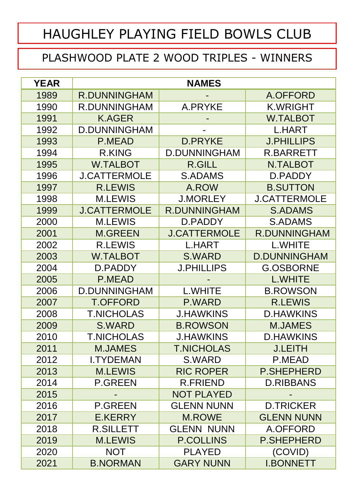#### PLASHWOOD PLATE 2 WOOD TRIPLES - WINNERS

| <b>YEAR</b> | <b>NAMES</b>        |                     |                     |
|-------------|---------------------|---------------------|---------------------|
| 1989        | <b>R.DUNNINGHAM</b> |                     | A.OFFORD            |
| 1990        | <b>R.DUNNINGHAM</b> | A.PRYKE             | <b>K.WRIGHT</b>     |
| 1991        | <b>K.AGER</b>       |                     | <b>W.TALBOT</b>     |
| 1992        | <b>D.DUNNINGHAM</b> |                     | <b>L.HART</b>       |
| 1993        | <b>P.MEAD</b>       | <b>D.PRYKE</b>      | <b>J.PHILLIPS</b>   |
| 1994        | <b>R.KING</b>       | <b>D.DUNNINGHAM</b> | <b>R.BARRETT</b>    |
| 1995        | <b>W.TALBOT</b>     | <b>R.GILL</b>       | <b>N.TALBOT</b>     |
| 1996        | <b>J.CATTERMOLE</b> | <b>S.ADAMS</b>      | D.PADDY             |
| 1997        | <b>R.LEWIS</b>      | A.ROW               | <b>B.SUTTON</b>     |
| 1998        | <b>M.LEWIS</b>      | <b>J.MORLEY</b>     | <b>J.CATTERMOLE</b> |
| 1999        | <b>J.CATTERMOLE</b> | <b>R.DUNNINGHAM</b> | <b>S.ADAMS</b>      |
| 2000        | <b>M.LEWIS</b>      | D.PADDY             | <b>S.ADAMS</b>      |
| 2001        | <b>M.GREEN</b>      | <b>J.CATTERMOLE</b> | <b>R.DUNNINGHAM</b> |
| 2002        | <b>R.LEWIS</b>      | <b>L.HART</b>       | <b>L.WHITE</b>      |
| 2003        | <b>W.TALBOT</b>     | <b>S.WARD</b>       | <b>D.DUNNINGHAM</b> |
| 2004        | D.PADDY             | <b>J.PHILLIPS</b>   | <b>G.OSBORNE</b>    |
| 2005        | <b>P.MEAD</b>       |                     | <b>L.WHITE</b>      |
| 2006        | <b>D.DUNNINGHAM</b> | <b>L.WHITE</b>      | <b>B.ROWSON</b>     |
| 2007        | <b>T.OFFORD</b>     | P.WARD              | <b>R.LEWIS</b>      |
| 2008        | <b>T.NICHOLAS</b>   | <b>J.HAWKINS</b>    | <b>D.HAWKINS</b>    |
| 2009        | <b>S.WARD</b>       | <b>B.ROWSON</b>     | <b>M.JAMES</b>      |
| 2010        | <b>T.NICHOLAS</b>   | <b>J.HAWKINS</b>    | <b>D.HAWKINS</b>    |
| 2011        | <b>M.JAMES</b>      | <b>T.NICHOLAS</b>   | <b>J.LEITH</b>      |
| 2012        | <b>I.TYDEMAN</b>    | S.WARD              | P.MEAD              |
| 2013        | <b>M.LEWIS</b>      | <b>RIC ROPER</b>    | <b>P.SHEPHERD</b>   |
| 2014        | <b>P.GREEN</b>      | <b>R.FRIEND</b>     | <b>D.RIBBANS</b>    |
| 2015        |                     | <b>NOT PLAYED</b>   |                     |
| 2016        | <b>P.GREEN</b>      | <b>GLENN NUNN</b>   | <b>D.TRICKER</b>    |
| 2017        | E.KERRY             | <b>M.ROWE</b>       | <b>GLENN NUNN</b>   |
| 2018        | <b>R.SILLETT</b>    | <b>GLENN NUNN</b>   | A.OFFORD            |
| 2019        | <b>M.LEWIS</b>      | <b>P.COLLINS</b>    | <b>P.SHEPHERD</b>   |
| 2020        | <b>NOT</b>          | <b>PLAYED</b>       | (COVID)             |
| 2021        | <b>B.NORMAN</b>     | <b>GARY NUNN</b>    | <b>I.BONNETT</b>    |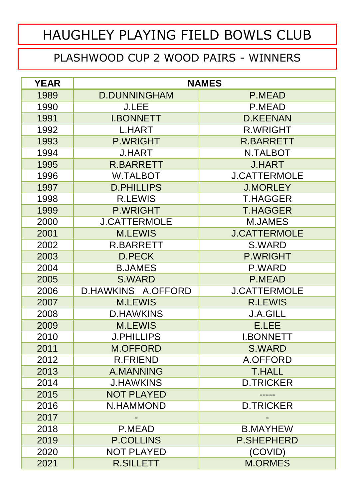#### PLASHWOOD CUP 2 WOOD PAIRS - WINNERS

| <b>YEAR</b> | <b>NAMES</b>        |                     |  |
|-------------|---------------------|---------------------|--|
| 1989        | <b>D.DUNNINGHAM</b> | P.MEAD              |  |
| 1990        | <b>J.LEE</b>        | P.MEAD              |  |
| 1991        | <b>I.BONNETT</b>    | <b>D.KEENAN</b>     |  |
| 1992        | <b>L.HART</b>       | <b>R.WRIGHT</b>     |  |
| 1993        | <b>P.WRIGHT</b>     | <b>R.BARRETT</b>    |  |
| 1994        | <b>J.HART</b>       | <b>N.TALBOT</b>     |  |
| 1995        | <b>R.BARRETT</b>    | <b>J.HART</b>       |  |
| 1996        | <b>W.TALBOT</b>     | <b>J.CATTERMOLE</b> |  |
| 1997        | <b>D.PHILLIPS</b>   | <b>J.MORLEY</b>     |  |
| 1998        | <b>R.LEWIS</b>      | <b>T.HAGGER</b>     |  |
| 1999        | <b>P.WRIGHT</b>     | <b>T.HAGGER</b>     |  |
| 2000        | <b>J.CATTERMOLE</b> | <b>M.JAMES</b>      |  |
| 2001        | <b>M.LEWIS</b>      | <b>J.CATTERMOLE</b> |  |
| 2002        | <b>R.BARRETT</b>    | S.WARD              |  |
| 2003        | <b>D.PECK</b>       | <b>P.WRIGHT</b>     |  |
| 2004        | <b>B.JAMES</b>      | P.WARD              |  |
| 2005        | <b>S.WARD</b>       | P.MEAD              |  |
| 2006        | D.HAWKINS A.OFFORD  | <b>J.CATTERMOLE</b> |  |
| 2007        | <b>M.LEWIS</b>      | <b>R.LEWIS</b>      |  |
| 2008        | <b>D.HAWKINS</b>    | <b>J.A.GILL</b>     |  |
| 2009        | <b>M.LEWIS</b>      | E.LEE               |  |
| 2010        | <b>J.PHILLIPS</b>   | <b>I.BONNETT</b>    |  |
| 2011        | <b>M.OFFORD</b>     | <b>S.WARD</b>       |  |
| 2012        | <b>R.FRIEND</b>     | A.OFFORD            |  |
| 2013        | A.MANNING           | <b>T.HALL</b>       |  |
| 2014        | <b>J.HAWKINS</b>    | <b>D.TRICKER</b>    |  |
| 2015        | <b>NOT PLAYED</b>   |                     |  |
| 2016        | N.HAMMOND           | <b>D.TRICKER</b>    |  |
| 2017        |                     |                     |  |
| 2018        | P.MEAD              | <b>B.MAYHEW</b>     |  |
| 2019        | <b>P.COLLINS</b>    | <b>P.SHEPHERD</b>   |  |
| 2020        | <b>NOT PLAYED</b>   | (COVID)             |  |
| 2021        | <b>R.SILLETT</b>    | <b>M.ORMES</b>      |  |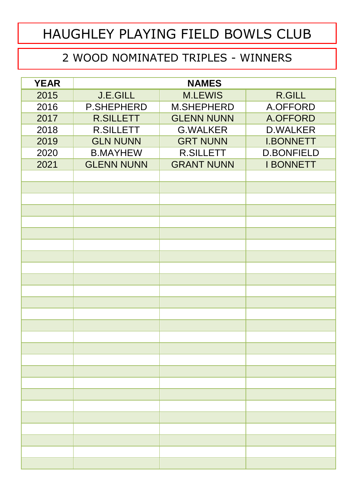#### 2 WOOD NOMINATED TRIPLES - WINNERS

| <b>YEAR</b> | <b>NAMES</b>      |                   |                   |
|-------------|-------------------|-------------------|-------------------|
| 2015        | <b>J.E.GILL</b>   | <b>M.LEWIS</b>    | <b>R.GILL</b>     |
| 2016        | <b>P.SHEPHERD</b> | <b>M.SHEPHERD</b> | A.OFFORD          |
| 2017        | <b>R.SILLETT</b>  | <b>GLENN NUNN</b> | A.OFFORD          |
| 2018        | <b>R.SILLETT</b>  | <b>G.WALKER</b>   | <b>D.WALKER</b>   |
| 2019        | <b>GLN NUNN</b>   | <b>GRT NUNN</b>   | <b>I.BONNETT</b>  |
| 2020        | <b>B.MAYHEW</b>   | <b>R.SILLETT</b>  | <b>D.BONFIELD</b> |
| 2021        | <b>GLENN NUNN</b> | <b>GRANT NUNN</b> | <b>I BONNETT</b>  |
|             |                   |                   |                   |
|             |                   |                   |                   |
|             |                   |                   |                   |
|             |                   |                   |                   |
|             |                   |                   |                   |
|             |                   |                   |                   |
|             |                   |                   |                   |
|             |                   |                   |                   |
|             |                   |                   |                   |
|             |                   |                   |                   |
|             |                   |                   |                   |
|             |                   |                   |                   |
|             |                   |                   |                   |
|             |                   |                   |                   |
|             |                   |                   |                   |
|             |                   |                   |                   |
|             |                   |                   |                   |
|             |                   |                   |                   |
|             |                   |                   |                   |
|             |                   |                   |                   |
|             |                   |                   |                   |
|             |                   |                   |                   |
|             |                   |                   |                   |
|             |                   |                   |                   |
|             |                   |                   |                   |
|             |                   |                   |                   |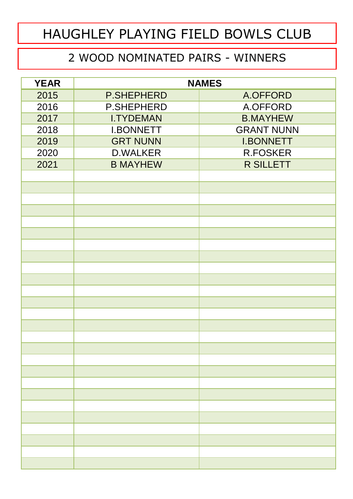#### 2 WOOD NOMINATED PAIRS - WINNERS

| <b>YEAR</b> | <b>NAMES</b>      |                   |
|-------------|-------------------|-------------------|
| 2015        | <b>P.SHEPHERD</b> | A.OFFORD          |
| 2016        | <b>P.SHEPHERD</b> | A.OFFORD          |
| 2017        | <b>I.TYDEMAN</b>  | <b>B.MAYHEW</b>   |
| 2018        | <b>I.BONNETT</b>  | <b>GRANT NUNN</b> |
| 2019        | <b>GRT NUNN</b>   | <b>I.BONNETT</b>  |
| 2020        | <b>D.WALKER</b>   | <b>R.FOSKER</b>   |
| 2021        | <b>B MAYHEW</b>   | <b>R SILLETT</b>  |
|             |                   |                   |
|             |                   |                   |
|             |                   |                   |
|             |                   |                   |
|             |                   |                   |
|             |                   |                   |
|             |                   |                   |
|             |                   |                   |
|             |                   |                   |
|             |                   |                   |
|             |                   |                   |
|             |                   |                   |
|             |                   |                   |
|             |                   |                   |
|             |                   |                   |
|             |                   |                   |
|             |                   |                   |
|             |                   |                   |
|             |                   |                   |
|             |                   |                   |
|             |                   |                   |
|             |                   |                   |
|             |                   |                   |
|             |                   |                   |
|             |                   |                   |
|             |                   |                   |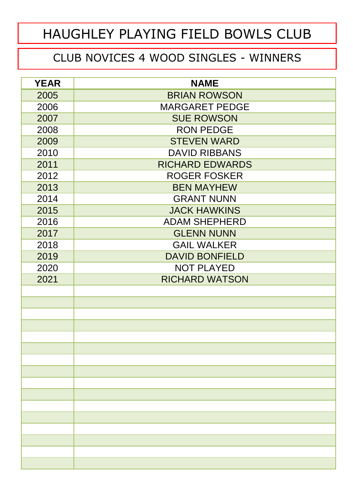#### CLUB NOVICES 4 WOOD SINGLES - WINNERS

| <b>YEAR</b> | <b>NAME</b>            |  |  |
|-------------|------------------------|--|--|
| 2005        | <b>BRIAN ROWSON</b>    |  |  |
| 2006        | <b>MARGARET PEDGE</b>  |  |  |
| 2007        | <b>SUE ROWSON</b>      |  |  |
| 2008        | <b>RON PEDGE</b>       |  |  |
| 2009        | <b>STEVEN WARD</b>     |  |  |
| 2010        | <b>DAVID RIBBANS</b>   |  |  |
| 2011        | <b>RICHARD EDWARDS</b> |  |  |
| 2012        | <b>ROGER FOSKER</b>    |  |  |
| 2013        | <b>BEN MAYHEW</b>      |  |  |
| 2014        | <b>GRANT NUNN</b>      |  |  |
| 2015        | <b>JACK HAWKINS</b>    |  |  |
| 2016        | <b>ADAM SHEPHERD</b>   |  |  |
| 2017        | <b>GLENN NUNN</b>      |  |  |
| 2018        | <b>GAIL WALKER</b>     |  |  |
| 2019        | <b>DAVID BONFIELD</b>  |  |  |
| 2020        | <b>NOT PLAYED</b>      |  |  |
| 2021        | <b>RICHARD WATSON</b>  |  |  |
|             |                        |  |  |
|             |                        |  |  |
|             |                        |  |  |
|             |                        |  |  |
|             |                        |  |  |
|             |                        |  |  |
|             |                        |  |  |
|             |                        |  |  |
|             |                        |  |  |
|             |                        |  |  |
|             |                        |  |  |
|             |                        |  |  |
|             |                        |  |  |
|             |                        |  |  |
|             |                        |  |  |
|             |                        |  |  |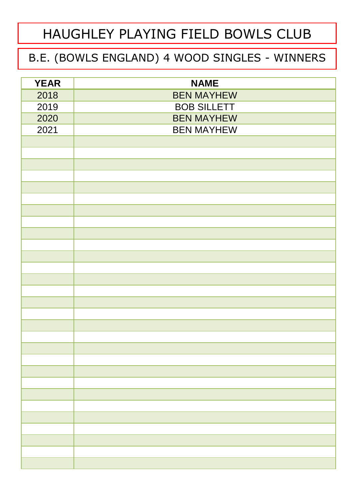#### B.E. (BOWLS ENGLAND) 4 WOOD SINGLES - WINNERS

| <b>YEAR</b> | <b>NAME</b>        |  |  |
|-------------|--------------------|--|--|
| 2018        | <b>BEN MAYHEW</b>  |  |  |
| 2019        | <b>BOB SILLETT</b> |  |  |
| 2020        | <b>BEN MAYHEW</b>  |  |  |
| 2021        | <b>BEN MAYHEW</b>  |  |  |
|             |                    |  |  |
|             |                    |  |  |
|             |                    |  |  |
|             |                    |  |  |
|             |                    |  |  |
|             |                    |  |  |
|             |                    |  |  |
|             |                    |  |  |
|             |                    |  |  |
|             |                    |  |  |
|             |                    |  |  |
|             |                    |  |  |
|             |                    |  |  |
|             |                    |  |  |
|             |                    |  |  |
|             |                    |  |  |
|             |                    |  |  |
|             |                    |  |  |
|             |                    |  |  |
|             |                    |  |  |
|             |                    |  |  |
|             |                    |  |  |
|             |                    |  |  |
|             |                    |  |  |
|             |                    |  |  |
|             |                    |  |  |
|             |                    |  |  |
|             |                    |  |  |
|             |                    |  |  |